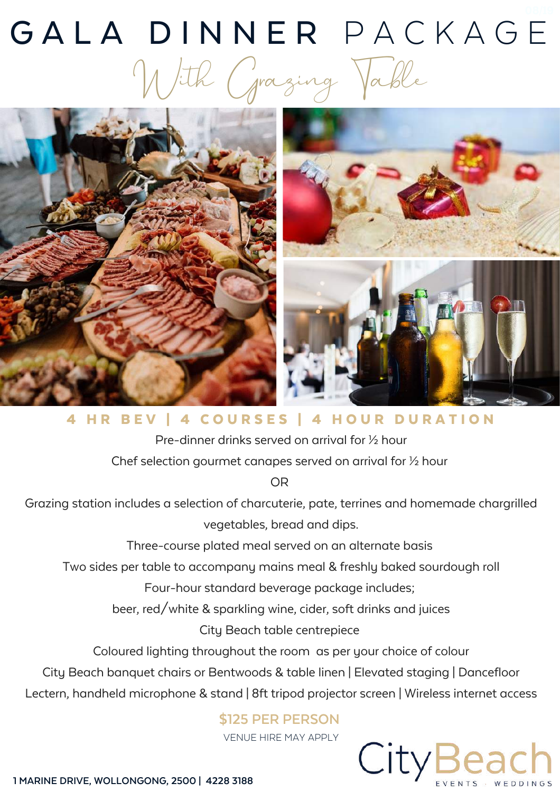# GALA DINNER PACKAGE With Grazing Table



4 HR BEV | 4 COURSES | 4 HOUR DURATION

Pre-dinner drinks served on arrival for ½ hour Chef selection gourmet canapes served on arrival for ½ hour

OR

Grazing station includes a selection of charcuterie, pate, terrines and homemade chargrilled vegetables, bread and dips.

Three-course plated meal served on an alternate basis

Two sides per table to accompany mains meal & freshly baked sourdough roll

Four-hour standard beverage package includes;

beer, red/white & sparkling wine, cider, soft drinks and juices

City Beach table centrepiece

Coloured lighting throughout the room as per your choice of colour

City Beach banquet chairs or Bentwoods & table linen | Elevated staging | Dancefloor

Lectern, handheld microphone & stand | 8ft tripod projector screen | Wireless internet access

### **\$125 PER PERSON**

VENUE HIRE MAY APPLY

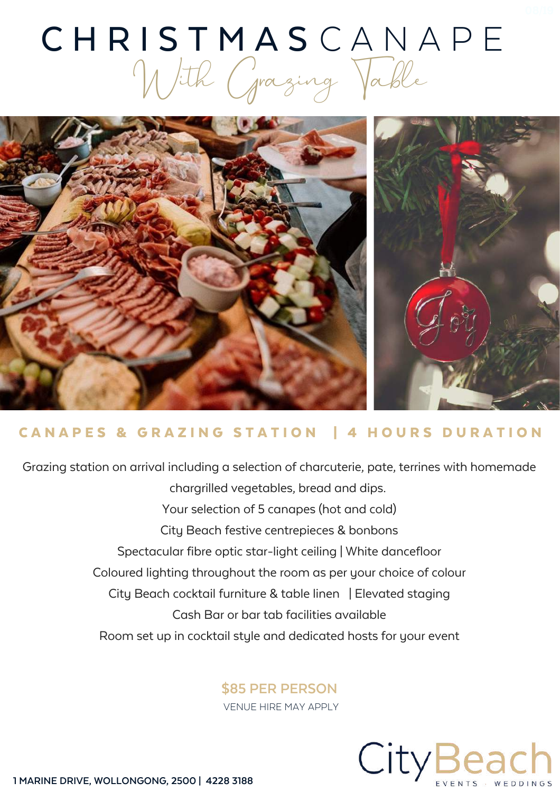### CHRISTMASCANAPE With Grazing Table



### CANAPES & GRAZING STATION | 4 HOURS DURATION

Grazing station on arrival including a selection of charcuterie, pate, terrines with homemade chargrilled vegetables, bread and dips. Your selection of 5 canapes (hot and cold) City Beach festive centrepieces & bonbons Spectacular fibre optic star-light ceiling | White dancefloor Coloured lighting throughout the room as per your choice of colour City Beach cocktail furniture & table linen | Elevated staging Cash Bar or bar tab facilities available Room set up in cocktail style and dedicated hosts for your event

#### **\$85 PER PERSON**

VENUE HIRE MAY APPLY

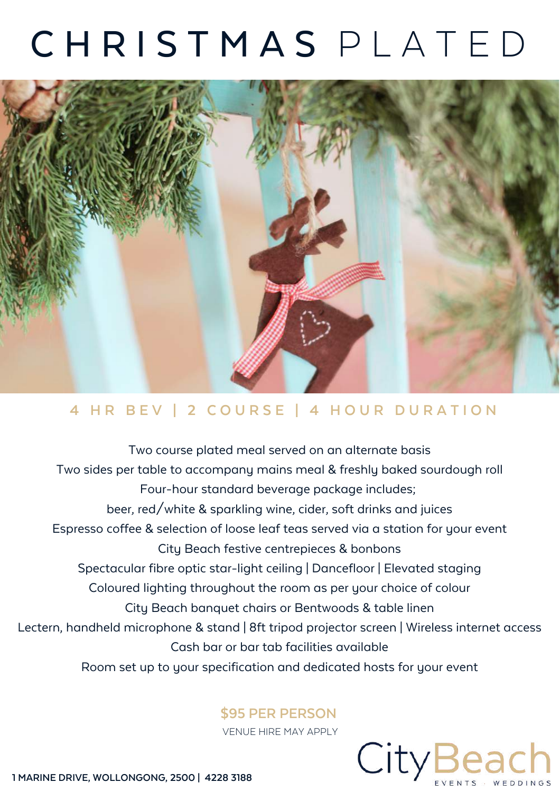## C H R I S T M A S P L A T E D



### 4 HR BEV | 2 COURSE | 4 HOUR DURATION

Two course plated meal served on an alternate basis Two sides per table to accompany mains meal & freshly baked sourdough roll Four-hour standard beverage package includes; beer, red/white & sparkling wine, cider, soft drinks and juices Espresso coffee & selection of loose leaf teas served via a station for your event City Beach festive centrepieces & bonbons Spectacular fibre optic star-light ceiling | Dancefloor | Elevated staging Coloured lighting throughout the room as per your choice of colour City Beach banquet chairs or Bentwoods & table linen Lectern, handheld microphone & stand | 8ft tripod projector screen | Wireless internet access Cash bar or bar tab facilities available Room set up to your specification and dedicated hosts for your event

#### **\$95 PER PERSON**

VENUE HIRE MAY APPLY

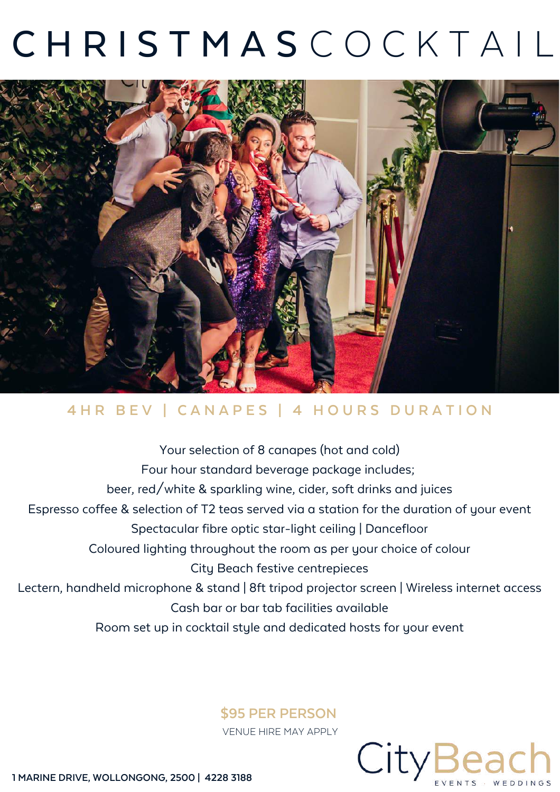## **CHRISTMASCOCKTAIL**



### 4HR BEV | CANAPES | 4 HOURS DURATION

Your selection of 8 canapes (hot and cold) Four hour standard beverage package includes; beer, red/white & sparkling wine, cider, soft drinks and juices Espresso coffee & selection of T2 teas served via a station for the duration of your event Spectacular fibre optic star-light ceiling | Dancefloor Coloured lighting throughout the room as per your choice of colour City Beach festive centrepieces Lectern, handheld microphone & stand | 8ft tripod projector screen | Wireless internet access Cash bar or bar tab facilities available Room set up in cocktail style and dedicated hosts for your event

#### **\$95 PER PERSON**

VENUE HIRE MAY APPLY

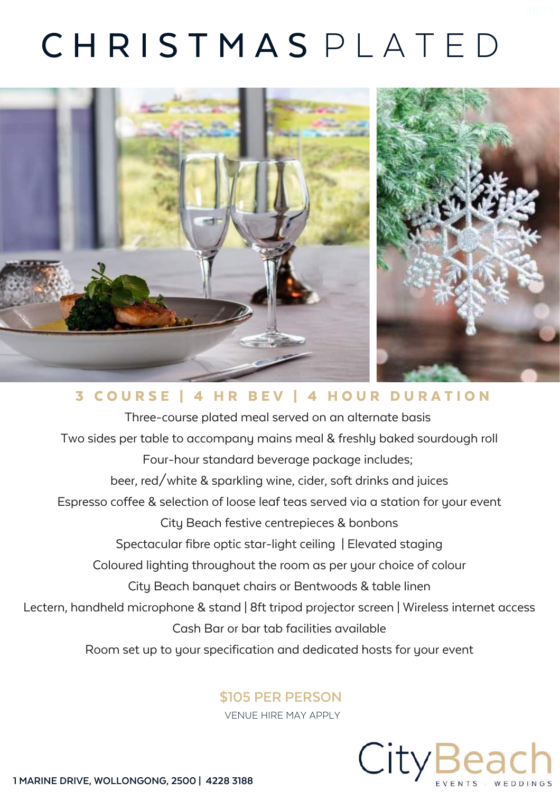## C H R I S T M A S P L A T E D



### 3 COURSE | 4 HR BEV | 4 HOUR DURATION

Three-course plated meal served on an alternate basis Two sides per table to accompany mains meal & freshly baked sourdough roll Four-hour standard beverage package includes; beer, red/white & sparkling wine, cider, soft drinks and juices Espresso coffee & selection of loose leaf teas served via a station for your event City Beach festive centrepieces & bonbons Spectacular fibre optic star-light ceiling | Elevated staging Coloured lighting throughout the room as per your choice of colour City Beach banquet chairs or Bentwoods & table linen Lectern, handheld microphone & stand | 8ft tripod projector screen | Wireless internet access Cash Bar or bar tab facilities available Room set up to your specification and dedicated hosts for your event

#### **\$105 PER PERSON**

VENUE HIRE MAY APPLY

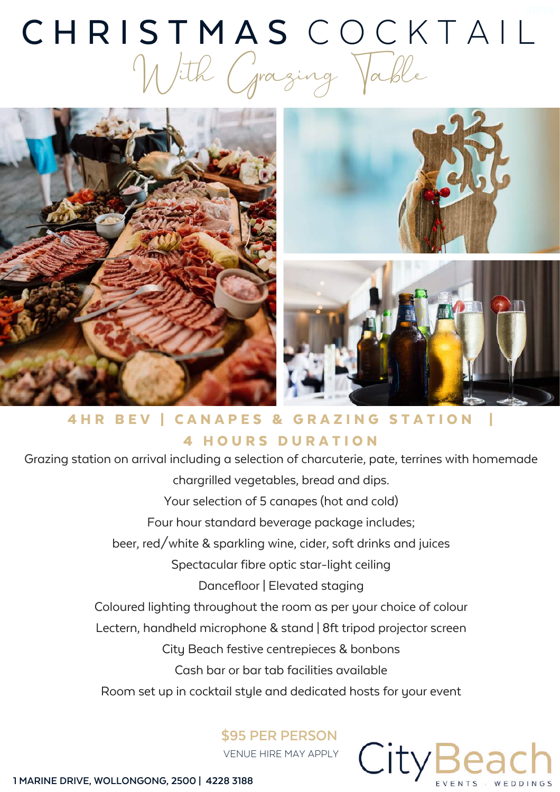## CHRISTMAS COCKTAIL With Grazing Table



4 HR BEV | CANAPES & GRAZING STATION **4 HOURS DURATION** 

Grazing station on arrival including a selection of charcuterie, pate, terrines with homemade chargrilled vegetables, bread and dips. Your selection of 5 canapes (hot and cold) Four hour standard beverage package includes; beer, red/white & sparkling wine, cider, soft drinks and juices Spectacular fibre optic star-light ceiling Dancefloor | Elevated staging Coloured lighting throughout the room as per your choice of colour Lectern, handheld microphone & stand | 8ft tripod projector screen City Beach festive centrepieces & bonbons Cash bar or bar tab facilities available Room set up in cocktail style and dedicated hosts for your event

**\$95 PER PERSON** VENUE HIRE MAY APPLY